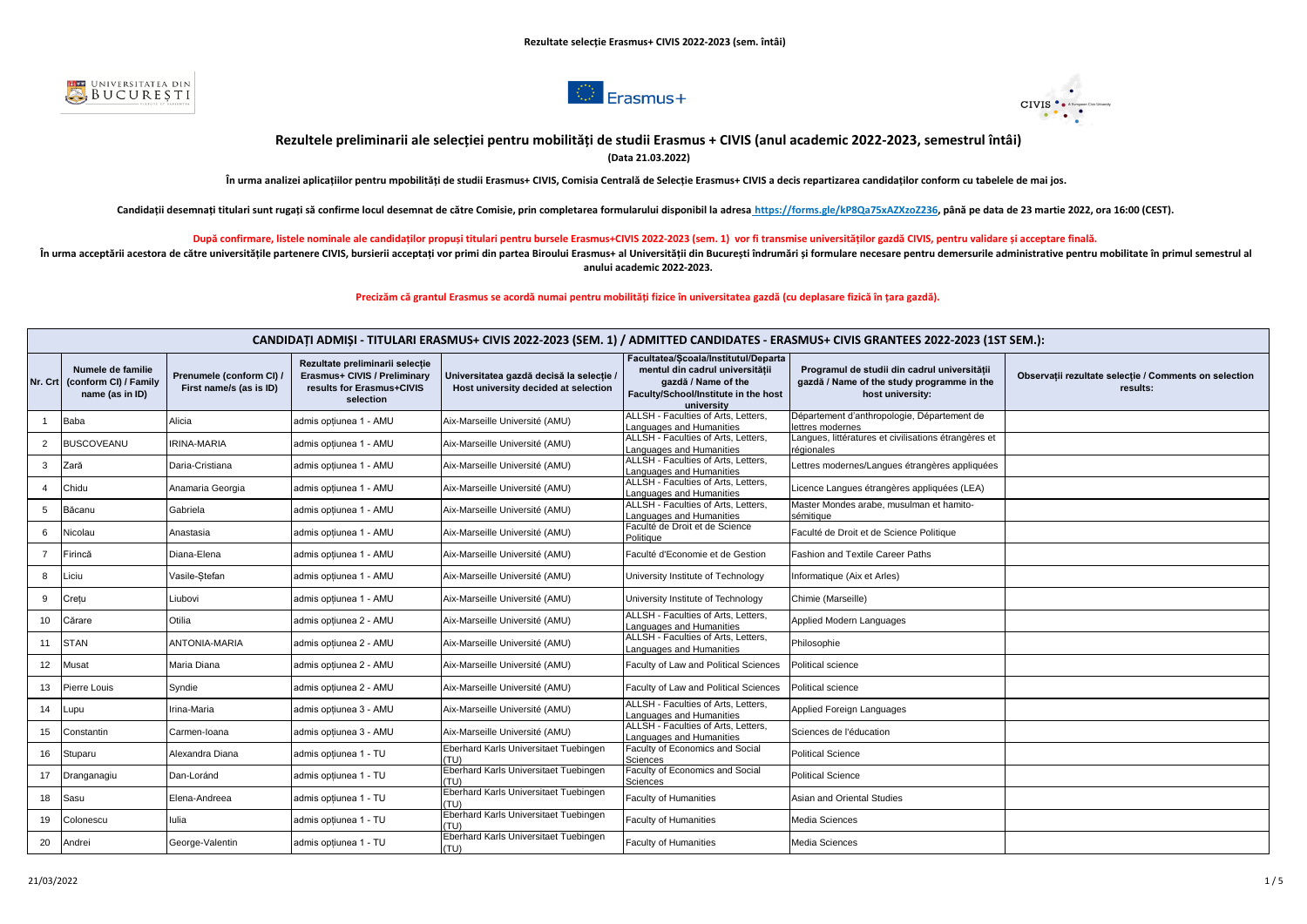





## **Rezultele preliminarii ale selecției pentru mobilități de studii Erasmus + CIVIS (anul academic 2022-2023, semestrul întâi) (Data 21.03.2022)**

**În urma analizei aplicațiilor pentru mpobilități de studii Erasmus+ CIVIS, Comisia Centrală de Selecție Erasmus+ CIVIS a decis repartizarea candidaților conform cu tabelele de mai jos.** 

Candidatii desemnati titulari sunt rugati să confirme locul desemnat de către Comisie, prin completarea formularului disponibil la adresa https://forms.gle/kP8Qa75xAZXzoZ236, până pe data de 23 martie 2022, ora 16:00 (CEST

**După confirmare, listele nominale ale candidaților propuși titulari pentru bursele Erasmus+CIVIS 2022-2023 (sem. 1) vor fi transmise universităților gazdă CIVIS, pentru validare și acceptare finală.** 

În urma acceptării acestora de către universitătile partenere CIVIS, bursierii acceptati vor primi din partea Biroului Erasmus+ al Universitătii din Bucuresti îndrumări si formulare necesare pentru demersurile administrati **anului academic 2022-2023.**

**Precizăm că grantul Erasmus se acordă numai pentru mobilități fizice în universitatea gazdă (cu deplasare fizică în țara gazdă).**

|                |                                                               |                                                   |                                                                                                           |                                                                                  | CANDIDATI ADMIŞI - TITULARI ERASMUS+ CIVIS 2022-2023 (SEM. 1) / ADMITTED CANDIDATES - ERASMUS+ CIVIS GRANTEES 2022-2023 (1ST SEM.):                  |                                                                                                                |                                                                   |  |
|----------------|---------------------------------------------------------------|---------------------------------------------------|-----------------------------------------------------------------------------------------------------------|----------------------------------------------------------------------------------|------------------------------------------------------------------------------------------------------------------------------------------------------|----------------------------------------------------------------------------------------------------------------|-------------------------------------------------------------------|--|
| Nr. Crt        | Numele de familie<br>(conform CI) / Family<br>name (as in ID) | Prenumele (conform CI)<br>First name/s (as is ID) | Rezultate preliminarii selecție<br>Erasmus+ CIVIS / Preliminary<br>results for Erasmus+CIVIS<br>selection | Universitatea gazdă decisă la selectie /<br>Host university decided at selection | Facultatea/Scoala/Institutul/Departa<br>mentul din cadrul universității<br>gazdă / Name of the<br>Faculty/School/Institute in the host<br>university | Programul de studii din cadrul universitătii<br>gazdă / Name of the study programme in the<br>host university: | Observatii rezultate selectie / Comments on selection<br>results: |  |
|                | Baba                                                          | Nicia                                             | admis optiunea 1 - AMU                                                                                    | Aix-Marseille Université (AMU)                                                   | ALLSH - Faculties of Arts, Letters,<br>Languages and Humanities                                                                                      | Département d'anthropologie, Département de<br>lettres modernes                                                |                                                                   |  |
| $\overline{2}$ | <b>BUSCOVEANU</b>                                             | <b>IRINA-MARIA</b>                                | admis optiunea 1 - AMU                                                                                    | Aix-Marseille Université (AMU)                                                   | ALLSH - Faculties of Arts, Letters,<br>Languages and Humanities                                                                                      | Langues, littératures et civilisations étrangères et<br>régionales                                             |                                                                   |  |
| 3              | Zară                                                          | Daria-Cristiana                                   | admis optiunea 1 - AMU                                                                                    | Aix-Marseille Université (AMU)                                                   | ALLSH - Faculties of Arts, Letters,<br>Languages and Humanities                                                                                      | Lettres modernes/Langues étrangères appliquées                                                                 |                                                                   |  |
| $\overline{4}$ | Chidu                                                         | Anamaria Georgia                                  | admis opțiunea 1 - AMU                                                                                    | Aix-Marseille Université (AMU)                                                   | ALLSH - Faculties of Arts. Letters.<br>Languages and Humanities                                                                                      | Licence Langues étrangères appliquées (LEA)                                                                    |                                                                   |  |
| 5              | Băcanu                                                        | Gabriela                                          | admis opțiunea 1 - AMU                                                                                    | Aix-Marseille Université (AMU)                                                   | ALLSH - Faculties of Arts, Letters,<br>Languages and Humanities                                                                                      | Master Mondes arabe, musulman et hamito-<br>sémitique                                                          |                                                                   |  |
| 6              | Nicolau                                                       | Anastasia                                         | admis opțiunea 1 - AMU                                                                                    | Aix-Marseille Université (AMU)                                                   | Faculté de Droit et de Science<br>Politique                                                                                                          | Faculté de Droit et de Science Politique                                                                       |                                                                   |  |
|                | Firincă                                                       | Diana-Elena                                       | admis optiunea 1 - AMU                                                                                    | Aix-Marseille Université (AMU)                                                   | Faculté d'Economie et de Gestion                                                                                                                     | Fashion and Textile Career Paths                                                                               |                                                                   |  |
| 8              | Liciu                                                         | Vasile-Stefan                                     | admis optiunea 1 - AMU                                                                                    | Aix-Marseille Université (AMU)                                                   | University Institute of Technology                                                                                                                   | Informatique (Aix et Arles)                                                                                    |                                                                   |  |
| 9              | Cretu                                                         | Liubovi                                           | admis optiunea 1 - AMU                                                                                    | Aix-Marseille Université (AMU)                                                   | University Institute of Technology                                                                                                                   | Chimie (Marseille)                                                                                             |                                                                   |  |
| 10             | Cărare                                                        | Otilia                                            | admis optiunea 2 - AMU                                                                                    | Aix-Marseille Université (AMU)                                                   | ALLSH - Faculties of Arts, Letters,<br>Languages and Humanities                                                                                      | Applied Modern Languages                                                                                       |                                                                   |  |
| 11             | <b>STAN</b>                                                   | <b>ANTONIA-MARIA</b>                              | admis optiunea 2 - AMU                                                                                    | Aix-Marseille Université (AMU)                                                   | ALLSH - Faculties of Arts, Letters,<br>Languages and Humanities                                                                                      | Philosophie                                                                                                    |                                                                   |  |
| 12             | Musat                                                         | Maria Diana                                       | admis optiunea 2 - AMU                                                                                    | Aix-Marseille Université (AMU)                                                   | Faculty of Law and Political Sciences                                                                                                                | Political science                                                                                              |                                                                   |  |
| 13             | <b>Pierre Louis</b>                                           | Syndie                                            | admis opțiunea 2 - AMU                                                                                    | Aix-Marseille Université (AMU)                                                   | Faculty of Law and Political Sciences                                                                                                                | Political science                                                                                              |                                                                   |  |
| 14             | Lupu                                                          | Irina-Maria                                       | admis opțiunea 3 - AMU                                                                                    | Aix-Marseille Université (AMU)                                                   | ALLSH - Faculties of Arts. Letters.<br>Languages and Humanities                                                                                      | Applied Foreign Languages                                                                                      |                                                                   |  |
| 15             | Constantin                                                    | Carmen-Ioana                                      | admis opțiunea 3 - AMU                                                                                    | Aix-Marseille Université (AMU)                                                   | ALLSH - Faculties of Arts. Letters.<br>Languages and Humanities                                                                                      | Sciences de l'éducation                                                                                        |                                                                   |  |
| 16             | Stuparu                                                       | Nexandra Diana                                    | admis opțiunea 1 - TU                                                                                     | Eberhard Karls Universitaet Tuebingen<br>(TU)                                    | Faculty of Economics and Social<br>Sciences                                                                                                          | <b>Political Science</b>                                                                                       |                                                                   |  |
| 17             | Dranganagiu                                                   | Dan-Loránd                                        | admis optiunea 1 - TU                                                                                     | Eberhard Karls Universitaet Tuebingen<br>(TU)                                    | Faculty of Economics and Social<br>Sciences                                                                                                          | <b>Political Science</b>                                                                                       |                                                                   |  |
| 18             | Sasu                                                          | Elena-Andreea                                     | admis optiunea 1 - TU                                                                                     | Eberhard Karls Universitaet Tuebingen<br>(TU)                                    | <b>Faculty of Humanities</b>                                                                                                                         | Asian and Oriental Studies                                                                                     |                                                                   |  |
| 19             | Colonescu                                                     | lulia                                             | admis optiunea 1 - TU                                                                                     | Eberhard Karls Universitaet Tuebingen<br>(TU)                                    | <b>Faculty of Humanities</b>                                                                                                                         | Media Sciences                                                                                                 |                                                                   |  |
| 20             | Andrei                                                        | George-Valentin                                   | admis optiunea 1 - TU                                                                                     | Eberhard Karls Universitaet Tuebingen<br>(TU)                                    | Faculty of Humanities                                                                                                                                | <b>Media Sciences</b>                                                                                          |                                                                   |  |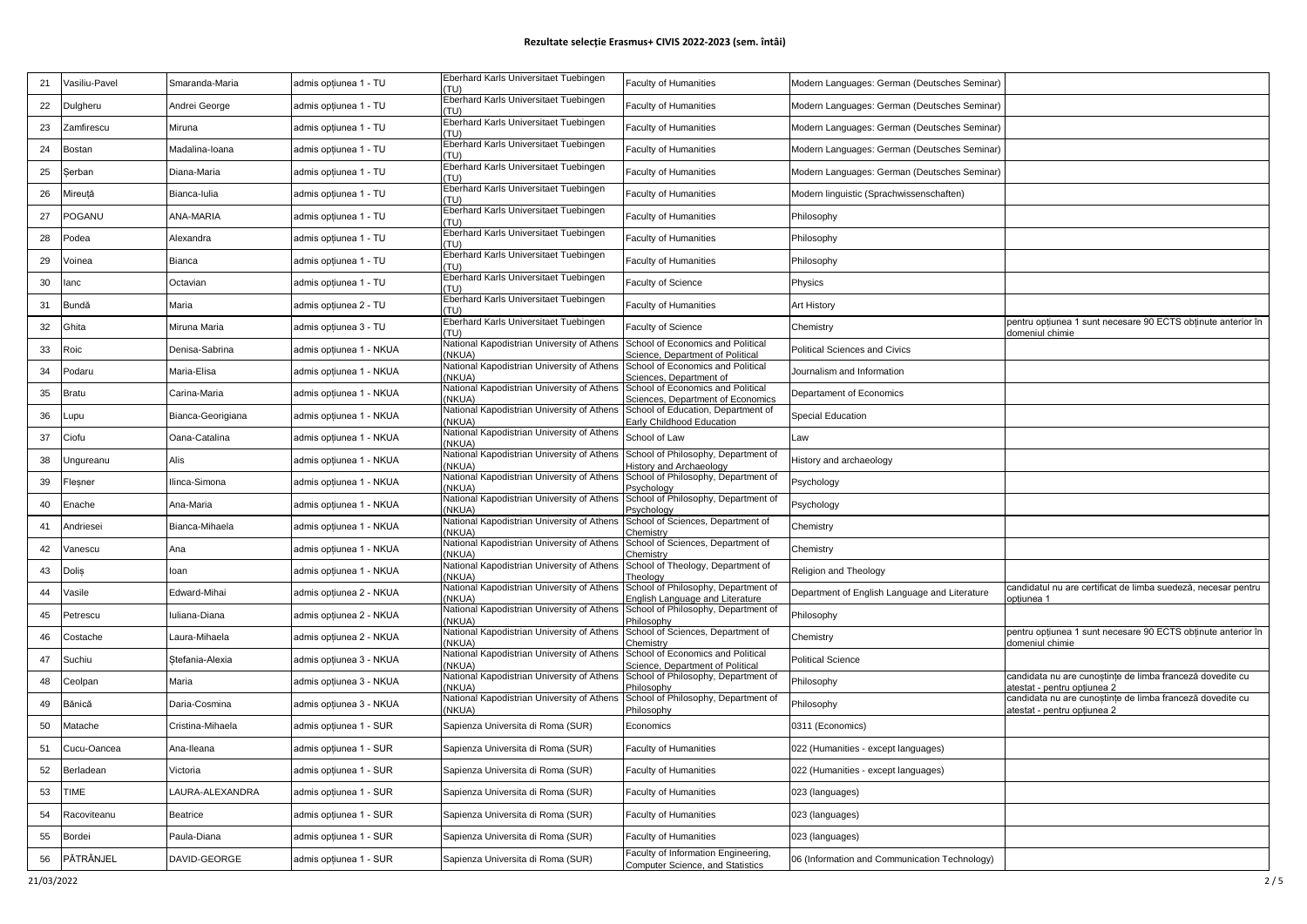| 21 | Vasiliu-Pavel | Smaranda-Maria    | admis opțiunea 1 - TU   | Eberhard Karls Universitaet Tuebingen                | Faculty of Humanities                                                          | Modern Languages: German (Deutsches Seminar)  |                                                                                          |
|----|---------------|-------------------|-------------------------|------------------------------------------------------|--------------------------------------------------------------------------------|-----------------------------------------------|------------------------------------------------------------------------------------------|
| 22 | Dulgheru      | Andrei George     | admis opțiunea 1 - TU   | Eberhard Karls Universitaet Tuebingen<br>(TU)        | <b>Faculty of Humanities</b>                                                   | Modern Languages: German (Deutsches Seminar)  |                                                                                          |
| 23 | Zamfirescu    | Miruna            | admis opțiunea 1 - TU   | Eberhard Karls Universitaet Tuebingen                | Faculty of Humanities                                                          | Modern Languages: German (Deutsches Seminar)  |                                                                                          |
| 24 | Bostan        | Madalina-loana    | admis opțiunea 1 - TU   | Eberhard Karls Universitaet Tuebingen                | <b>Faculty of Humanities</b>                                                   | Modern Languages: German (Deutsches Seminar)  |                                                                                          |
| 25 | Serban        | Diana-Maria       | admis opțiunea 1 - TU   | Eberhard Karls Universitaet Tuebingen                | <b>Faculty of Humanities</b>                                                   | Modern Languages: German (Deutsches Seminar)  |                                                                                          |
| 26 | Mireută       | Bianca-Iulia      | admis opțiunea 1 - TU   | Eberhard Karls Universitaet Tuebingen                | <b>Faculty of Humanities</b>                                                   | Modern linguistic (Sprachwissenschaften)      |                                                                                          |
| 27 | POGANU        | ANA-MARIA         | admis opțiunea 1 - TU   | Eberhard Karls Universitaet Tuebingen                | <b>Faculty of Humanities</b>                                                   | Philosophy                                    |                                                                                          |
| 28 | Podea         | Alexandra         | admis opțiunea 1 - TU   | Eberhard Karls Universitaet Tuebingen<br>(T11)       | <b>Faculty of Humanities</b>                                                   | Philosophy                                    |                                                                                          |
| 29 | Voinea        | Bianca            | dmis opțiunea 1 - TU    | Eberhard Karls Universitaet Tuebingen<br>(T1)        | <b>Faculty of Humanities</b>                                                   | Philosophy                                    |                                                                                          |
| 30 | lanc          | Octavian          | dmis opțiunea 1 - TU    | Eberhard Karls Universitaet Tuebingen<br><b>TU</b>   | <b>Faculty of Science</b>                                                      | Physics                                       |                                                                                          |
| 31 | Bundă         | Maria             | admis opțiunea 2 - TU   | Eberhard Karls Universitaet Tuebingen<br>'ת וד       | <b>Faculty of Humanities</b>                                                   | Art History                                   |                                                                                          |
| 32 | Ghita         | Miruna Maria      | admis opțiunea 3 - TU   | Eberhard Karls Universitaet Tuebingen<br>(TU)        | Faculty of Science                                                             | Chemistry                                     | pentru opțiunea 1 sunt necesare 90 ECTS obținute anterior în<br>domeniul chimie          |
| 33 | Roic          | Denisa-Sabrina    | admis optiunea 1 - NKUA | National Kapodistrian University of Athens<br>(NKUA) | School of Economics and Political<br>Science, Department of Political          | Political Sciences and Civics                 |                                                                                          |
| 34 | Podaru        | Maria-Elisa       | admis opțiunea 1 - NKUA | National Kapodistrian University of Athens<br>NKUA)  | School of Economics and Political<br>Sciences, Department of                   | Journalism and Information                    |                                                                                          |
| 35 | <b>Bratu</b>  | Carina-Maria      | admis opțiunea 1 - NKUA | National Kapodistrian University of Athens<br>'NKUA' | School of Economics and Political<br>Sciences, Department of Economics         | Departament of Economics                      |                                                                                          |
| 36 | upu.          | Bianca-Georigiana | admis opțiunea 1 - NKUA | National Kapodistrian University of Athens<br>NKUA)  | School of Education, Department of<br>Early Childhood Education                | Special Education                             |                                                                                          |
| 37 | Ciofu         | Oana-Catalina     | admis opțiunea 1 - NKUA | National Kapodistrian University of Athens<br>NKUA)  | School of Law                                                                  | Law                                           |                                                                                          |
| 38 | Ungureanu     | Alis              | admis opțiunea 1 - NKUA | National Kapodistrian University of Athens<br>(NKUA) | School of Philosophy, Department of<br>listory and Archaeology                 | History and archaeology                       |                                                                                          |
| 39 | Flesner       | Ilinca-Simona     | admis opțiunea 1 - NKUA | National Kapodistrian University of Athens<br>(NKUA) | School of Philosophy, Department of<br>Psychology                              | Psychology                                    |                                                                                          |
| 40 | Enache        | Ana-Maria         | admis opțiunea 1 - NKUA | National Kapodistrian University of Athens<br>(NKUA) | School of Philosophy, Department of<br>Psychology                              | Psychology                                    |                                                                                          |
| 41 | Andriesei     | Bianca-Mihaela    | admis opțiunea 1 - NKUA | National Kapodistrian University of Athens<br>(NKUA) | School of Sciences, Department of<br>Chemistry                                 | Chemistry                                     |                                                                                          |
| 42 | Vanescu       | Ana               | dmis opțiunea 1 - NKUA  | National Kapodistrian University of Athens<br>(NKUA) | School of Sciences, Department of<br>Chemistry                                 | Chemistry                                     |                                                                                          |
| 43 | <b>Dolis</b>  | loan              | ıdmis opțiunea 1 - NKUA | National Kapodistrian University of Athens<br>NKUA)  | School of Theology, Department of<br>Theology                                  | Religion and Theology                         |                                                                                          |
| 44 | Vasile        | Edward-Mihai      | admis opțiunea 2 - NKUA | National Kapodistrian University of Athens<br>NKUA)  | School of Philosophy, Department of<br>English Language and Literature         | Department of English Language and Literature | candidatul nu are certificat de limba suedeză, necesar pentru<br>opțiunea 1              |
| 45 | Petrescu      | Iuliana-Diana     | admis opțiunea 2 - NKUA | National Kapodistrian University of Athens<br>(NKUA) | School of Philosophy, Department of<br>Philosophy                              | Philosophy                                    |                                                                                          |
| 46 | Costache      | Laura-Mihaela     | admis opțiunea 2 - NKUA | National Kapodistrian University of Athens<br>(NKUA) | School of Sciences, Department of<br>Chemistrv                                 | Chemistry                                     | pentru opțiunea 1 sunt necesare 90 ECTS obținute anterior în<br>domeniul chimie          |
| 47 | Suchiu        | Stefania-Alexia   | admis opțiunea 3 - NKUA | National Kapodistrian University of Athens<br>(NKUA) | School of Economics and Political<br>Science, Department of Political          | <b>Political Science</b>                      |                                                                                          |
| 48 | Ceolpan       | Maria             | admis opțiunea 3 - NKUA | National Kapodistrian University of Athens<br>(NKUA) | School of Philosophy, Department of<br>Philosophy                              | Philosophy                                    | candidata nu are cunostințe de limba franceză dovedite cu<br>atestat - pentru optiunea 2 |
| 49 | Bănică        | Daria-Cosmina     | admis opțiunea 3 - NKUA | National Kapodistrian University of Athens<br>NKUA)  | School of Philosophy, Department of<br>Philosophy                              | Philosophy                                    | candidata nu are cunoștințe de limba franceză dovedite cu<br>atestat - pentru opțiunea 2 |
| 50 | Aatache       | Cristina-Mihaela  | admis opțiunea 1 - SUR  | Sapienza Universita di Roma (SUR)                    | Economics                                                                      | 0311 (Economics)                              |                                                                                          |
| 51 | Cucu-Oancea   | Ana-Ileana        | admis opțiunea 1 - SUR  | Sapienza Universita di Roma (SUR)                    | Faculty of Humanities                                                          | 022 (Humanities - except languages)           |                                                                                          |
| 52 | Berladean     | Victoria          | admis opțiunea 1 - SUR  | Sapienza Universita di Roma (SUR)                    | Faculty of Humanities                                                          | 022 (Humanities - except languages)           |                                                                                          |
| 53 | <b>TIME</b>   | LAURA-ALEXANDRA   | admis opțiunea 1 - SUR  | Sapienza Universita di Roma (SUR)                    | <b>Faculty of Humanities</b>                                                   | 023 (languages)                               |                                                                                          |
| 54 | Racoviteanu   | Beatrice          | admis opțiunea 1 - SUR  | Sapienza Universita di Roma (SUR)                    | <b>Faculty of Humanities</b>                                                   | 023 (languages)                               |                                                                                          |
| 55 | Bordei        | Paula-Diana       | dmis opțiunea 1 - SUR   | Sapienza Universita di Roma (SUR)                    | Faculty of Humanities                                                          | 023 (languages)                               |                                                                                          |
| 56 | PĂTRÂNJEL     | DAVID-GEORGE      | admis opțiunea 1 - SUR  | Sapienza Universita di Roma (SUR)                    | Faculty of Information Engineering,<br><b>Computer Science, and Statistics</b> | 06 (Information and Communication Technology) |                                                                                          |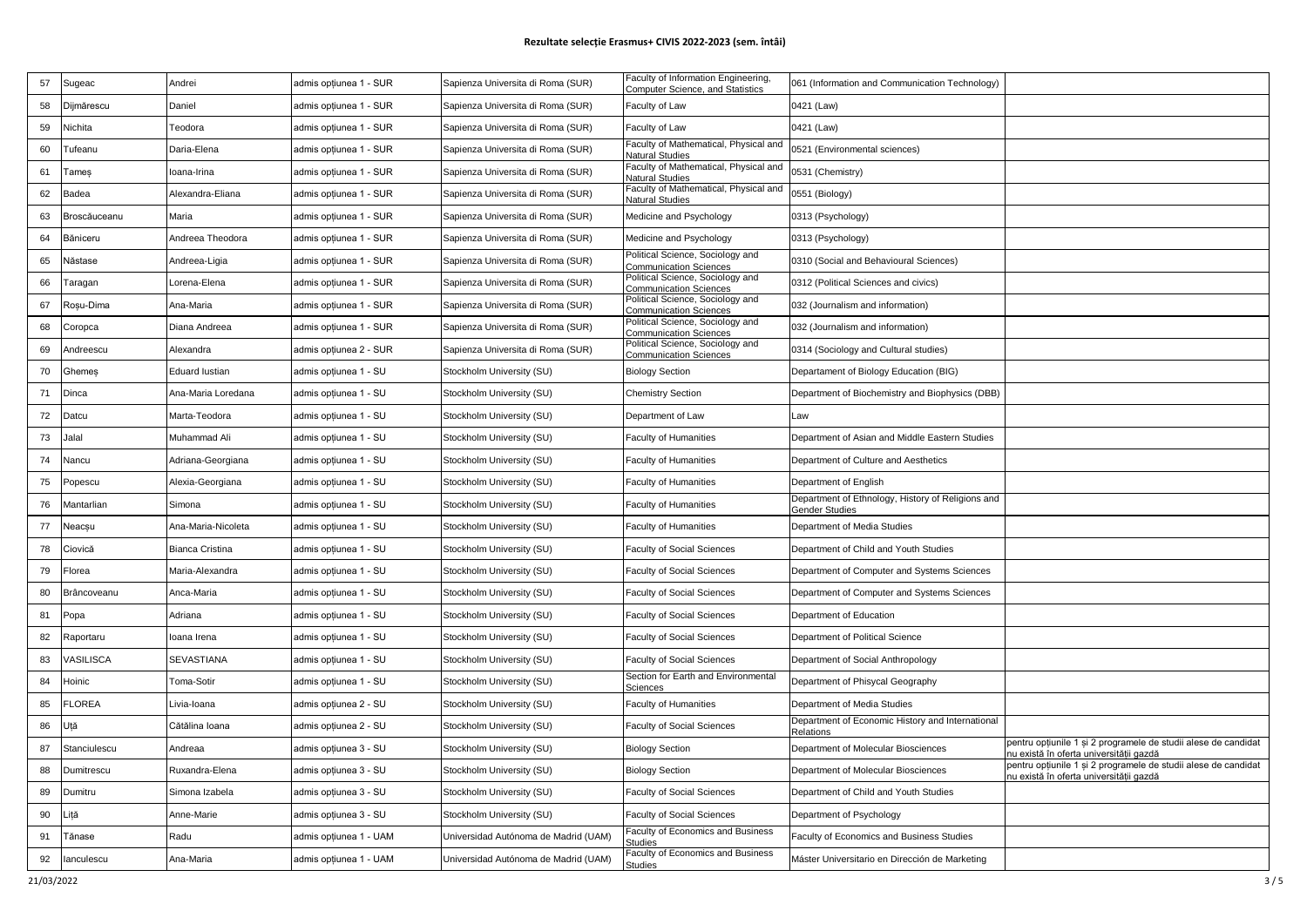## **Rezultate selecție Erasmus+ CIVIS 2022-2023 (sem. întâi)**

| 57 | Sugeac        | Andrei                | admis opțiunea 1 - SUR | Sapienza Universita di Roma (SUR)    | Faculty of Information Engineering,                               | 061 (Information and Communication Technology)                      |                                                                                                           |
|----|---------------|-----------------------|------------------------|--------------------------------------|-------------------------------------------------------------------|---------------------------------------------------------------------|-----------------------------------------------------------------------------------------------------------|
|    |               |                       |                        |                                      | Computer Science, and Statistics                                  |                                                                     |                                                                                                           |
| 58 | Dijmărescu    | Daniel                | admis opțiunea 1 - SUR | Sapienza Universita di Roma (SUR)    | Faculty of Law                                                    | 0421 (Law)                                                          |                                                                                                           |
| 59 | Nichita       | Teodora               | admis opțiunea 1 - SUR | Sapienza Universita di Roma (SUR)    | Faculty of Law                                                    | 0421 (Law)                                                          |                                                                                                           |
| 60 | Tufeanu       | Daria-Elena           | admis opțiunea 1 - SUR | Sapienza Universita di Roma (SUR)    | Faculty of Mathematical, Physical and<br><b>Natural Studies</b>   | 0521 (Environmental sciences)                                       |                                                                                                           |
| 61 | Tameş         | Ioana-Irina           | admis opțiunea 1 - SUR | Sapienza Universita di Roma (SUR)    | Faculty of Mathematical, Physical and<br><b>Natural Studies</b>   | 0531 (Chemistry)                                                    |                                                                                                           |
| 62 | Badea         | Alexandra-Eliana      | admis opțiunea 1 - SUR | Sapienza Universita di Roma (SUR)    | Faculty of Mathematical, Physical and<br>Natural Studies          | 0551 (Biology)                                                      |                                                                                                           |
| 63 | Broscăuceanu  | Maria                 | admis opțiunea 1 - SUR | Sapienza Universita di Roma (SUR)    | Medicine and Psychology                                           | 0313 (Psychology)                                                   |                                                                                                           |
| 64 | Băniceru      | Andreea Theodora      | admis opțiunea 1 - SUR | Sapienza Universita di Roma (SUR)    | Medicine and Psychology                                           | 0313 (Psychology)                                                   |                                                                                                           |
| 65 | Năstase       | Andreea-Ligia         | admis opțiunea 1 - SUR | Sapienza Universita di Roma (SUR)    | Political Science, Sociology and<br><b>Communication Sciences</b> | 0310 (Social and Behavioural Sciences)                              |                                                                                                           |
| 66 | Taragan       | Lorena-Elena          | admis opțiunea 1 - SUR | Sapienza Universita di Roma (SUR)    | Political Science, Sociology and<br>Communication Sciences        | 0312 (Political Sciences and civics)                                |                                                                                                           |
| 67 | Roșu-Dima     | Ana-Maria             | admis opțiunea 1 - SUR | Sapienza Universita di Roma (SUR)    | Political Science, Sociology and<br>Communication Sciences        | 032 (Journalism and information)                                    |                                                                                                           |
| 68 | Coropca       | Diana Andreea         | admis opțiunea 1 - SUR | Sapienza Universita di Roma (SUR)    | Political Science, Sociology and<br><b>Communication Sciences</b> | 032 (Journalism and information)                                    |                                                                                                           |
| 69 | Andreescu     | Alexandra             | admis opțiunea 2 - SUR | Sapienza Universita di Roma (SUR)    | Political Science, Sociology and<br><b>Communication Sciences</b> | 0314 (Sociology and Cultural studies)                               |                                                                                                           |
| 70 | Ghemes        | <b>Eduard lustian</b> | admis opțiunea 1 - SU  | Stockholm University (SU)            | <b>Biology Section</b>                                            | Departament of Biology Education (BIG)                              |                                                                                                           |
| 71 | Dinca         | Ana-Maria Loredana    | admis opțiunea 1 - SU  | Stockholm University (SU)            | <b>Chemistry Section</b>                                          | Department of Biochemistry and Biophysics (DBB)                     |                                                                                                           |
| 72 | Datcu         | Marta-Teodora         | admis opțiunea 1 - SU  | Stockholm University (SU)            | Department of Law                                                 | Law                                                                 |                                                                                                           |
| 73 | Jalal         | Muhammad Ali          | admis opțiunea 1 - SU  | Stockholm University (SU)            | <b>Faculty of Humanities</b>                                      | Department of Asian and Middle Eastern Studies                      |                                                                                                           |
| 74 | Nancu         | Adriana-Georgiana     | admis opțiunea 1 - SU  | Stockholm University (SU)            | <b>Faculty of Humanities</b>                                      | Department of Culture and Aesthetics                                |                                                                                                           |
| 75 | Popescu       | Alexia-Georgiana      | admis opțiunea 1 - SU  | Stockholm University (SU)            | <b>Faculty of Humanities</b>                                      | Department of English                                               |                                                                                                           |
| 76 | Mantarlian    | Simona                | admis opțiunea 1 - SU  | Stockholm University (SU)            | <b>Faculty of Humanities</b>                                      | Department of Ethnology, History of Religions and<br>Gender Studies |                                                                                                           |
| 77 | Neacșu        | Ana-Maria-Nicoleta    | admis opțiunea 1 - SU  | Stockholm University (SU)            | Faculty of Humanities                                             | Department of Media Studies                                         |                                                                                                           |
| 78 | Ciovică       | Bianca Cristina       | admis opțiunea 1 - SU  | Stockholm University (SU)            | <b>Faculty of Social Sciences</b>                                 | Department of Child and Youth Studies                               |                                                                                                           |
| 79 | Florea        | Maria-Alexandra       | admis opțiunea 1 - SU  | Stockholm University (SU)            | Faculty of Social Sciences                                        | Department of Computer and Systems Sciences                         |                                                                                                           |
| 80 | Brâncoveanu   | Anca-Maria            | admis opțiunea 1 - SU  | Stockholm University (SU)            | Faculty of Social Sciences                                        | Department of Computer and Systems Sciences                         |                                                                                                           |
| 81 | Popa          | Adriana               | admis opțiunea 1 - SU  | Stockholm University (SU)            | <b>Faculty of Social Sciences</b>                                 | Department of Education                                             |                                                                                                           |
| 82 | Raportaru     | loana Irena           | admis opțiunea 1 - SU  | Stockholm University (SU)            | <b>Faculty of Social Sciences</b>                                 | Department of Political Science                                     |                                                                                                           |
| 83 | /ASILISCA     | SEVASTIANA            | admis opțiunea 1 - SU  | Stockholm University (SU)            | Faculty of Social Sciences                                        | Department of Social Anthropology                                   |                                                                                                           |
| 84 | Hoinic        | Toma-Sotir            | admis opțiunea 1 - SU  | Stockholm University (SU)            | Section for Earth and Environmental<br>Sciences                   | Department of Phisycal Geography                                    |                                                                                                           |
| 85 | <b>FLOREA</b> | Livia-Ioana           | admis opțiunea 2 - SU  | Stockholm University (SU)            | <b>Faculty of Humanities</b>                                      | Department of Media Studies                                         |                                                                                                           |
| 86 | Jtă           | Cătălina Ioana        | admis opțiunea 2 - SU  | Stockholm University (SU)            | <b>Faculty of Social Sciences</b>                                 | Department of Economic History and International<br>Relations       |                                                                                                           |
| 87 | Stanciulescu  | Andreaa               | admis opțiunea 3 - SU  | Stockholm University (SU)            | <b>Biology Section</b>                                            | Department of Molecular Biosciences                                 | pentru opțiunile 1 și 2 programele de studii alese de candidat<br>nu există în oferta universității gazdă |
| 88 | Dumitrescu    | Ruxandra-Elena        | admis opțiunea 3 - SU  | Stockholm University (SU)            | <b>Biology Section</b>                                            | Department of Molecular Biosciences                                 | pentru opțiunile 1 și 2 programele de studii alese de candidat<br>nu există în oferta universitătii gazdă |
| 89 | Dumitru       | Simona Izabela        | admis opțiunea 3 - SU  | Stockholm University (SU)            | <b>Faculty of Social Sciences</b>                                 | Department of Child and Youth Studies                               |                                                                                                           |
| 90 | ∟iță          | Anne-Marie            | admis opțiunea 3 - SU  | Stockholm University (SU)            | Faculty of Social Sciences                                        | Department of Psychology                                            |                                                                                                           |
| 91 | Tănase        | Radu                  | admis opțiunea 1 - UAM | Universidad Autónoma de Madrid (UAM) | Faculty of Economics and Business<br>Studies                      | Faculty of Economics and Business Studies                           |                                                                                                           |
| 92 | lanculescu    | Ana-Maria             | admis opțiunea 1 - UAM | Universidad Autónoma de Madrid (UAM) | Faculty of Economics and Business<br>tudies                       | Máster Universitario en Dirección de Marketing                      |                                                                                                           |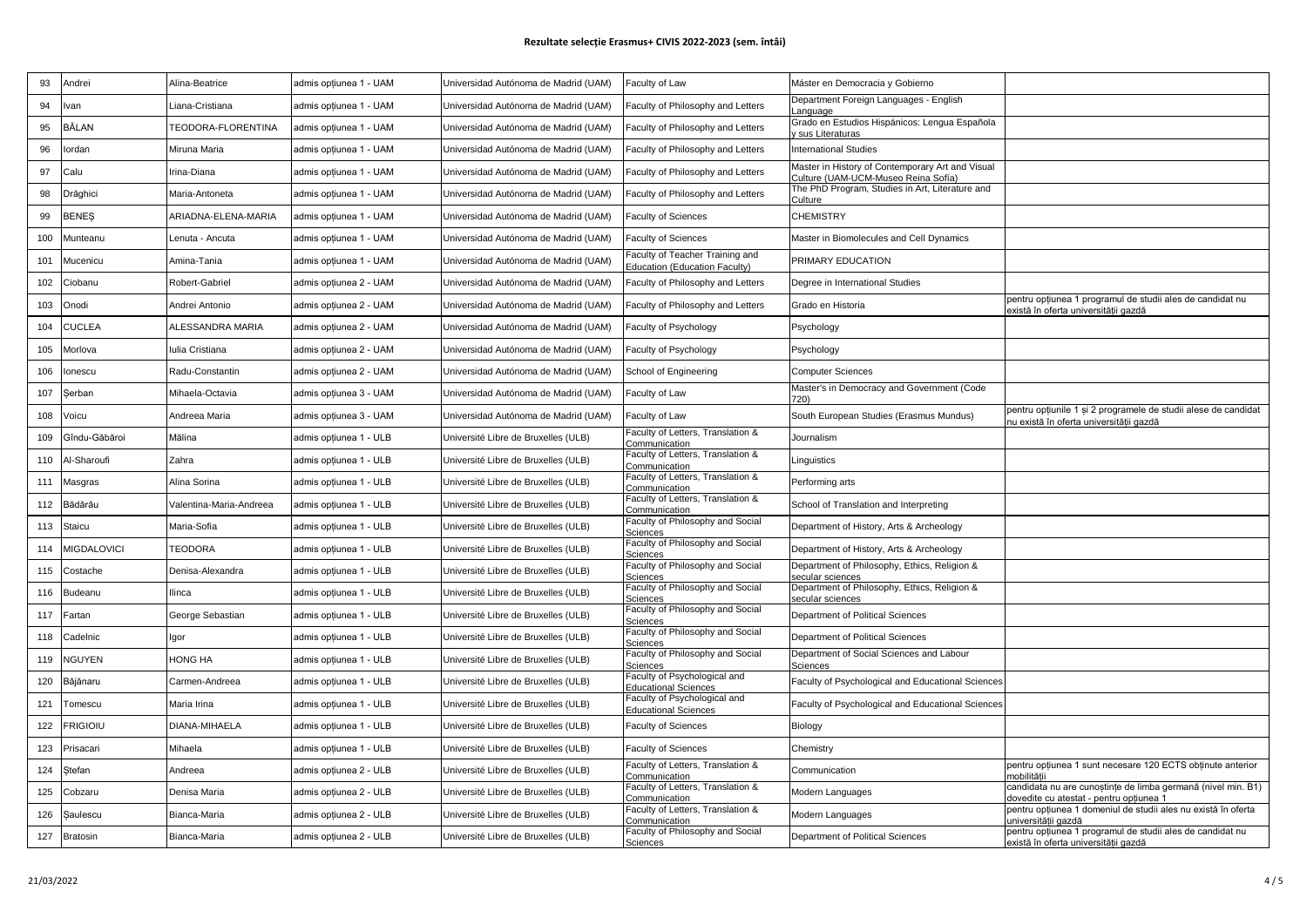## **Rezultate selecție Erasmus+ CIVIS 2022-2023 (sem. întâi)**

| 93  | Andrei        | Alina-Beatrice          | admis opțiunea 1 - UAM | Universidad Autónoma de Madrid (UAM) | Faculty of Law                                                         | Máster en Democracia y Gobierno                                                         |                                                                                                           |
|-----|---------------|-------------------------|------------------------|--------------------------------------|------------------------------------------------------------------------|-----------------------------------------------------------------------------------------|-----------------------------------------------------------------------------------------------------------|
| 94  | lvan          | Liana-Cristiana         | admis opțiunea 1 - UAM | Universidad Autónoma de Madrid (UAM) | Faculty of Philosophy and Letters                                      | Department Foreign Languages - English<br>Language                                      |                                                                                                           |
| 95  | BĂLAN         | TEODORA-FLORENTINA      | admis optiunea 1 - UAM | Universidad Autónoma de Madrid (UAM) | Faculty of Philosophy and Letters                                      | Grado en Estudios Hispánicos: Lengua Española<br>sus Literaturas                        |                                                                                                           |
| 96  | lordan        | Miruna Maria            | admis opțiunea 1 - UAM | Universidad Autónoma de Madrid (UAM) | Faculty of Philosophy and Letters                                      | nternational Studies                                                                    |                                                                                                           |
| 97  | Calu          | Irina-Diana             | admis opțiunea 1 - UAM | Universidad Autónoma de Madrid (UAM) | Faculty of Philosophy and Letters                                      | Master in History of Contemporary Art and Visual<br>Culture (UAM-UCM-Museo Reina Sofía) |                                                                                                           |
| 98  | Drăghici      | Maria-Antoneta          | admis optiunea 1 - UAM | Universidad Autónoma de Madrid (UAM) | Faculty of Philosophy and Letters                                      | The PhD Program, Studies in Art, Literature and<br>Culture                              |                                                                                                           |
| 99  | BENEȘ         | ARIADNA-ELENA-MARIA     | admis optiunea 1 - UAM | Universidad Autónoma de Madrid (UAM) | <b>Faculty of Sciences</b>                                             | <b>CHEMISTRY</b>                                                                        |                                                                                                           |
| 100 | Munteanu      | enuta - Ancuta          | admis optiunea 1 - UAM | Universidad Autónoma de Madrid (UAM) | <b>Faculty of Sciences</b>                                             | Master in Biomolecules and Cell Dynamics                                                |                                                                                                           |
| 101 | Mucenicu      | Amina-Tania             | admis opțiunea 1 - UAM | Universidad Autónoma de Madrid (UAM) | aculty of Teacher Training and<br><b>Education (Education Faculty)</b> | PRIMARY EDUCATION                                                                       |                                                                                                           |
| 102 | Ciobanu       | Robert-Gabriel          | admis optiunea 2 - UAM | Universidad Autónoma de Madrid (UAM) | Faculty of Philosophy and Letters                                      | Degree in International Studies                                                         |                                                                                                           |
| 103 | Onodi         | Andrei Antonio          | admis opțiunea 2 - UAM | Universidad Autónoma de Madrid (UAM) | Faculty of Philosophy and Letters                                      | Grado en Historia                                                                       | pentru opțiunea 1 programul de studii ales de candidat nu<br>există în oferta universității gazdă         |
| 104 | <b>CUCLEA</b> | <b>ALESSANDRA MARIA</b> | admis opțiunea 2 - UAM | Universidad Autónoma de Madrid (UAM) | Faculty of Psychology                                                  | Psychology                                                                              |                                                                                                           |
| 105 | Morlova       | lulia Cristiana         | admis opțiunea 2 - UAM | Universidad Autónoma de Madrid (UAM) | Faculty of Psychology                                                  | Psychology                                                                              |                                                                                                           |
| 106 | lonescu       | Radu-Constantin         | admis opțiunea 2 - UAM | Universidad Autónoma de Madrid (UAM) | School of Engineering                                                  | Computer Sciences                                                                       |                                                                                                           |
| 107 | Serban        | Mihaela-Octavia         | admis opțiunea 3 - UAM | Universidad Autónoma de Madrid (UAM) | Faculty of Law                                                         | Master's in Democracy and Government (Code                                              |                                                                                                           |
| 108 | √oicu         | Andreea Maria           | admis opțiunea 3 - UAM | Universidad Autónoma de Madrid (UAM) | Faculty of Law                                                         | South European Studies (Erasmus Mundus)                                                 | pentru opțiunile 1 și 2 programele de studii alese de candidat<br>nu există în oferta universitătii gazdă |
| 109 | Gîndu-Găbăroi | Mălina                  | admis opțiunea 1 - ULB | Université Libre de Bruxelles (ULB)  | Faculty of Letters, Translation &<br>Communication                     | Journalism                                                                              |                                                                                                           |
| 110 | Al-Sharoufi   | Zahra                   | admis opțiunea 1 - ULB | Université Libre de Bruxelles (ULB)  | Faculty of Letters, Translation &<br>Communication                     | Linguistics                                                                             |                                                                                                           |
| 111 | Masgras       | Alina Sorina            | admis opțiunea 1 - ULB | Université Libre de Bruxelles (ULB)  | Faculty of Letters, Translation &<br>Communication                     | Performing arts                                                                         |                                                                                                           |
| 112 | Bădărău       | Valentina-Maria-Andreea | admis opțiunea 1 - ULB | Université Libre de Bruxelles (ULB)  | Faculty of Letters, Translation &<br>Communication                     | School of Translation and Interpreting                                                  |                                                                                                           |
| 113 | Staicu        | Maria-Sofia             | admis opțiunea 1 - ULB | Université Libre de Bruxelles (ULB)  | Faculty of Philosophy and Social<br>Sciences                           | Department of History, Arts & Archeology                                                |                                                                                                           |
| 114 | MIGDALOVICI   | TEODORA                 | admis opțiunea 1 - ULB | Université Libre de Bruxelles (ULB)  | Faculty of Philosophy and Social<br>Sciences                           | Department of History, Arts & Archeology                                                |                                                                                                           |
| 115 | Costache      | Denisa-Alexandra        | admis opțiunea 1 - ULB | Université Libre de Bruxelles (ULB)  | Faculty of Philosophy and Social<br>Sciences                           | Department of Philosophy, Ethics, Religion &<br>ecular sciences                         |                                                                                                           |
| 116 | Budeanu       | llinca                  | admis opțiunea 1 - ULB | Université Libre de Bruxelles (ULB)  | Faculty of Philosophy and Social<br>Sciences                           | Department of Philosophy, Ethics, Religion &<br>secular sciences                        |                                                                                                           |
| 117 | Fartan        | George Sebastian        | admis opțiunea 1 - ULB | Université Libre de Bruxelles (ULB)  | Faculty of Philosophy and Social<br>Sciences                           | Department of Political Sciences                                                        |                                                                                                           |
| 118 | Cadelnic      | Igor                    | admis opțiunea 1 - ULB | Université Libre de Bruxelles (ULB)  | Faculty of Philosophy and Social<br>Sciences                           | Department of Political Sciences                                                        |                                                                                                           |
| 119 | <b>NGUYEN</b> | HONG HA                 | admis opțiunea 1 - ULB | Université Libre de Bruxelles (ULB)  | Faculty of Philosophy and Social<br>Sciences                           | Department of Social Sciences and Labour<br>Sciences                                    |                                                                                                           |
| 120 | Băjănaru      | Carmen-Andreea          | admis opțiunea 1 - ULB | Université Libre de Bruxelles (ULB)  | Faculty of Psychological and<br><b>Educational Sciences</b>            | Faculty of Psychological and Educational Sciences                                       |                                                                                                           |
| 121 | Tomescu       | Maria Irina             | admis opțiunea 1 - ULB | Université Libre de Bruxelles (ULB)  | Faculty of Psychological and<br><b>Educational Sciences</b>            | Faculty of Psychological and Educational Sciences                                       |                                                                                                           |
| 122 | Frigioiu      | DIANA-MIHAELA           | admis opțiunea 1 - ULB | Université Libre de Bruxelles (ULB)  | Faculty of Sciences                                                    | Biology                                                                                 |                                                                                                           |
| 123 | Prisacari     | Mihaela                 | admis opțiunea 1 - ULB | Université Libre de Bruxelles (ULB)  | Faculty of Sciences                                                    | Chemistry                                                                               |                                                                                                           |
| 124 | Stefan        | Andreea                 | admis opțiunea 2 - ULB | Université Libre de Bruxelles (ULB)  | Faculty of Letters, Translation &<br>Communication                     | Communication                                                                           | pentru optiunea 1 sunt necesare 120 ECTS obtinute anterior<br>mobilitătii                                 |
| 125 | Cobzaru       | Denisa Maria            | admis opțiunea 2 - ULB | Université Libre de Bruxelles (ULB)  | Faculty of Letters, Translation &<br>Communication                     | Modern Languages                                                                        | candidata nu are cunoștințe de limba germană (nivel min. B1)<br>dovedite cu atestat - pentru optiunea 1   |
| 126 | Şaulescu      | Bianca-Maria            | admis opțiunea 2 - ULB | Université Libre de Bruxelles (ULB)  | Faculty of Letters, Translation &<br>Communication                     | Modern Languages                                                                        | pentru opțiunea 1 domeniul de studii ales nu există în oferta<br>universitătii gazdă                      |
| 127 | Bratosin      | Bianca-Maria            | admis optiunea 2 - ULB | Université Libre de Bruxelles (ULB)  | Faculty of Philosophy and Social<br>Sciences                           | Department of Political Sciences                                                        | pentru opțiunea 1 programul de studii ales de candidat nu<br>există în oferta universitătii gazdă         |